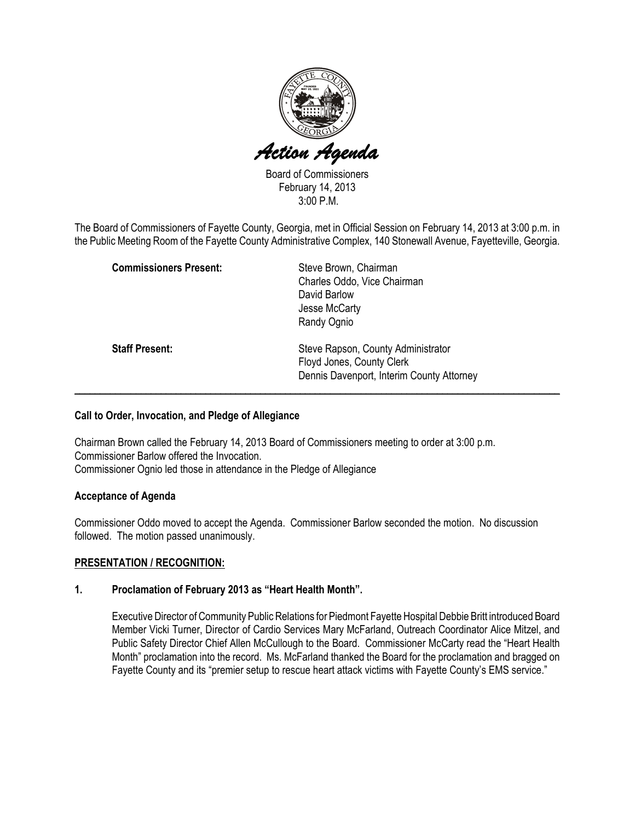

Board of Commissioners February 14, 2013 3:00 P.M.

The Board of Commissioners of Fayette County, Georgia, met in Official Session on February 14, 2013 at 3:00 p.m. in the Public Meeting Room of the Fayette County Administrative Complex, 140 Stonewall Avenue, Fayetteville, Georgia.

| <b>Commissioners Present:</b> | Steve Brown, Chairman                     |
|-------------------------------|-------------------------------------------|
|                               | Charles Oddo, Vice Chairman               |
|                               | David Barlow                              |
|                               | Jesse McCarty                             |
|                               | Randy Ognio                               |
| <b>Staff Present:</b>         | Steve Rapson, County Administrator        |
|                               | Floyd Jones, County Clerk                 |
|                               | Dennis Davenport, Interim County Attorney |
|                               |                                           |

#### Call to Order, Invocation, and Pledge of Allegiance

Chairman Brown called the February 14, 2013 Board of Commissioners meeting to order at 3:00 p.m. Commissioner Barlow offered the Invocation. Commissioner Ognio led those in attendance in the Pledge of Allegiance

#### Acceptance of Agenda

Commissioner Oddo moved to accept the Agenda. Commissioner Barlow seconded the motion. No discussion followed. The motion passed unanimously.

# PRESENTATION / RECOGNITION:

# 1. Proclamation of February 2013 as "Heart Health Month".

Executive Director of Community Public Relations for Piedmont Fayette Hospital Debbie Britt introduced Board Member Vicki Turner, Director of Cardio Services Mary McFarland, Outreach Coordinator Alice Mitzel, and Public Safety Director Chief Allen McCullough to the Board. Commissioner McCarty read the "Heart Health Month" proclamation into the record. Ms. McFarland thanked the Board for the proclamation and bragged on Fayette County and its "premier setup to rescue heart attack victims with Fayette County's EMS service."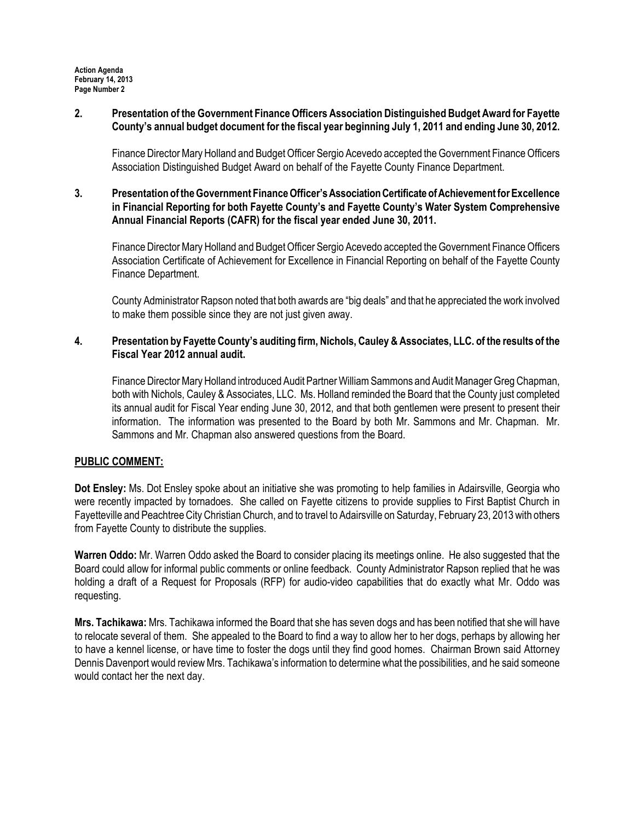Action Agenda February 14, 2013 Page Number 2

## 2. Presentation of the Government Finance Officers Association Distinguished Budget Award for Fayette County's annual budget document for the fiscal year beginning July 1, 2011 and ending June 30, 2012.

Finance Director Mary Holland and Budget Officer Sergio Acevedo accepted the Government Finance Officers Association Distinguished Budget Award on behalf of the Fayette County Finance Department.

## 3. Presentation of the Government Finance Officer's Association Certificate of Achievement for Excellence in Financial Reporting for both Fayette County's and Fayette County's Water System Comprehensive Annual Financial Reports (CAFR) for the fiscal year ended June 30, 2011.

Finance Director Mary Holland and Budget Officer Sergio Acevedo accepted the Government Finance Officers Association Certificate of Achievement for Excellence in Financial Reporting on behalf of the Fayette County Finance Department.

County Administrator Rapson noted that both awards are "big deals" and that he appreciated the work involved to make them possible since they are not just given away.

## 4. Presentation by Fayette County's auditing firm, Nichols, Cauley & Associates, LLC. of the results of the Fiscal Year 2012 annual audit.

Finance Director Mary Holland introduced Audit Partner William Sammons and Audit Manager Greg Chapman, both with Nichols, Cauley & Associates, LLC. Ms. Holland reminded the Board that the County just completed its annual audit for Fiscal Year ending June 30, 2012, and that both gentlemen were present to present their information. The information was presented to the Board by both Mr. Sammons and Mr. Chapman. Mr. Sammons and Mr. Chapman also answered questions from the Board.

# PUBLIC COMMENT:

Dot Ensley: Ms. Dot Ensley spoke about an initiative she was promoting to help families in Adairsville, Georgia who were recently impacted by tornadoes. She called on Fayette citizens to provide supplies to First Baptist Church in Fayetteville and Peachtree City Christian Church, and to travel to Adairsville on Saturday, February 23, 2013 with others from Fayette County to distribute the supplies.

Warren Oddo: Mr. Warren Oddo asked the Board to consider placing its meetings online. He also suggested that the Board could allow for informal public comments or online feedback. County Administrator Rapson replied that he was holding a draft of a Request for Proposals (RFP) for audio-video capabilities that do exactly what Mr. Oddo was requesting.

Mrs. Tachikawa: Mrs. Tachikawa informed the Board that she has seven dogs and has been notified that she will have to relocate several of them. She appealed to the Board to find a way to allow her to her dogs, perhaps by allowing her to have a kennel license, or have time to foster the dogs until they find good homes. Chairman Brown said Attorney Dennis Davenport would review Mrs. Tachikawa's information to determine what the possibilities, and he said someone would contact her the next day.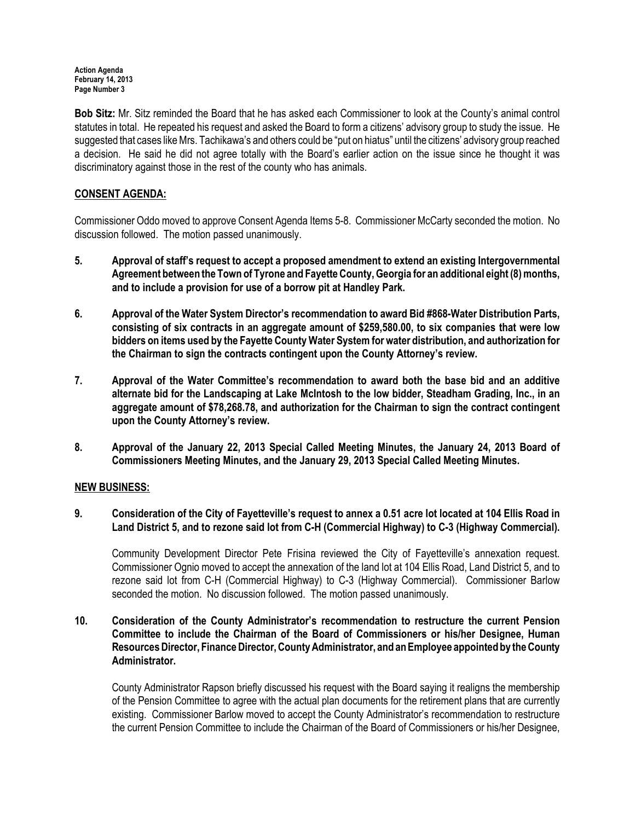Action Agenda February 14, 2013 Page Number 3

Bob Sitz: Mr. Sitz reminded the Board that he has asked each Commissioner to look at the County's animal control statutes in total. He repeated his request and asked the Board to form a citizens' advisory group to study the issue. He suggested that cases like Mrs. Tachikawa's and others could be "put on hiatus" until the citizens' advisory group reached a decision. He said he did not agree totally with the Board's earlier action on the issue since he thought it was discriminatory against those in the rest of the county who has animals.

## CONSENT AGENDA:

Commissioner Oddo moved to approve Consent Agenda Items 5-8. Commissioner McCarty seconded the motion. No discussion followed. The motion passed unanimously.

- 5. Approval of staff's request to accept a proposed amendment to extend an existing Intergovernmental Agreement between the Town of Tyrone and Fayette County, Georgia for an additional eight (8) months, and to include a provision for use of a borrow pit at Handley Park.
- 6. Approval of the Water System Director's recommendation to award Bid #868-Water Distribution Parts, consisting of six contracts in an aggregate amount of \$259,580.00, to six companies that were low bidders on items used by the Fayette County Water System for water distribution, and authorization for the Chairman to sign the contracts contingent upon the County Attorney's review.
- 7. Approval of the Water Committee's recommendation to award both the base bid and an additive alternate bid for the Landscaping at Lake McIntosh to the low bidder, Steadham Grading, Inc., in an aggregate amount of \$78,268.78, and authorization for the Chairman to sign the contract contingent upon the County Attorney's review.
- 8. Approval of the January 22, 2013 Special Called Meeting Minutes, the January 24, 2013 Board of Commissioners Meeting Minutes, and the January 29, 2013 Special Called Meeting Minutes.

#### NEW BUSINESS:

9. Consideration of the City of Fayetteville's request to annex a 0.51 acre lot located at 104 Ellis Road in Land District 5, and to rezone said lot from C-H (Commercial Highway) to C-3 (Highway Commercial).

Community Development Director Pete Frisina reviewed the City of Fayetteville's annexation request. Commissioner Ognio moved to accept the annexation of the land lot at 104 Ellis Road, Land District 5, and to rezone said lot from C-H (Commercial Highway) to C-3 (Highway Commercial). Commissioner Barlow seconded the motion. No discussion followed. The motion passed unanimously.

10. Consideration of the County Administrator's recommendation to restructure the current Pension Committee to include the Chairman of the Board of Commissioners or his/her Designee, Human Resources Director, Finance Director, County Administrator, and an Employee appointed by the County Administrator.

County Administrator Rapson briefly discussed his request with the Board saying it realigns the membership of the Pension Committee to agree with the actual plan documents for the retirement plans that are currently existing. Commissioner Barlow moved to accept the County Administrator's recommendation to restructure the current Pension Committee to include the Chairman of the Board of Commissioners or his/her Designee,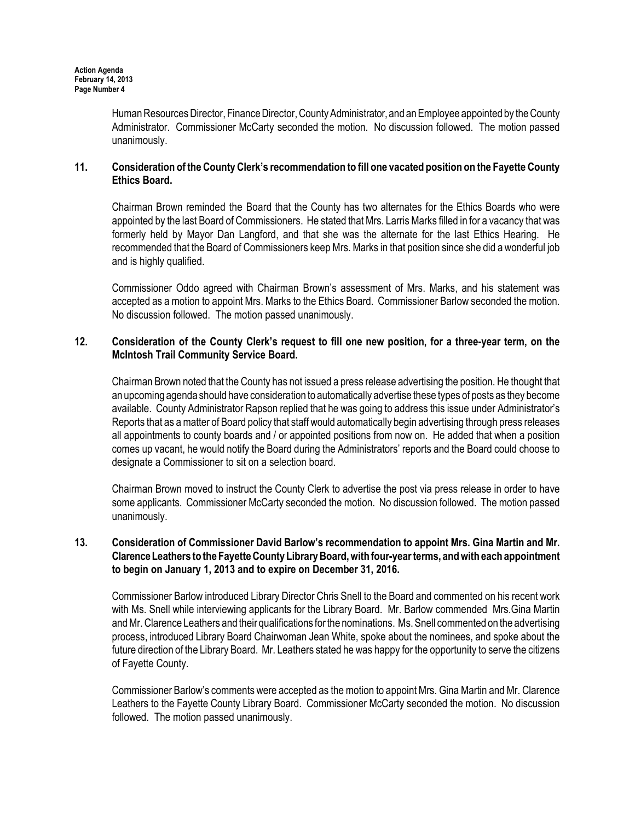Human Resources Director, Finance Director, County Administrator, and an Employee appointed by the County Administrator. Commissioner McCarty seconded the motion. No discussion followed. The motion passed unanimously.

## 11. Consideration of the County Clerk's recommendation to fill one vacated position on the Fayette County Ethics Board.

Chairman Brown reminded the Board that the County has two alternates for the Ethics Boards who were appointed by the last Board of Commissioners. He stated that Mrs. Larris Marks filled in for a vacancy that was formerly held by Mayor Dan Langford, and that she was the alternate for the last Ethics Hearing. He recommended that the Board of Commissioners keep Mrs. Marks in that position since she did a wonderful job and is highly qualified.

Commissioner Oddo agreed with Chairman Brown's assessment of Mrs. Marks, and his statement was accepted as a motion to appoint Mrs. Marks to the Ethics Board. Commissioner Barlow seconded the motion. No discussion followed. The motion passed unanimously.

## 12. Consideration of the County Clerk's request to fill one new position, for a three-year term, on the McIntosh Trail Community Service Board.

Chairman Brown noted that the County has not issued a press release advertising the position. He thought that an upcoming agenda should have consideration to automatically advertise these types of posts as they become available. County Administrator Rapson replied that he was going to address this issue under Administrator's Reports that as a matter of Board policy that staff would automatically begin advertising through press releases all appointments to county boards and / or appointed positions from now on. He added that when a position comes up vacant, he would notify the Board during the Administrators' reports and the Board could choose to designate a Commissioner to sit on a selection board.

Chairman Brown moved to instruct the County Clerk to advertise the post via press release in order to have some applicants. Commissioner McCarty seconded the motion. No discussion followed. The motion passed unanimously.

## 13. Consideration of Commissioner David Barlow's recommendation to appoint Mrs. Gina Martin and Mr. Clarence Leathers to the Fayette County Library Board, with four-year terms, and with each appointment to begin on January 1, 2013 and to expire on December 31, 2016.

Commissioner Barlow introduced Library Director Chris Snell to the Board and commented on his recent work with Ms. Snell while interviewing applicants for the Library Board. Mr. Barlow commended Mrs.Gina Martin and Mr. Clarence Leathers and their qualifications for the nominations. Ms. Snell commented on the advertising process, introduced Library Board Chairwoman Jean White, spoke about the nominees, and spoke about the future direction of the Library Board. Mr. Leathers stated he was happy for the opportunity to serve the citizens of Fayette County.

Commissioner Barlow's comments were accepted as the motion to appoint Mrs. Gina Martin and Mr. Clarence Leathers to the Fayette County Library Board. Commissioner McCarty seconded the motion. No discussion followed. The motion passed unanimously.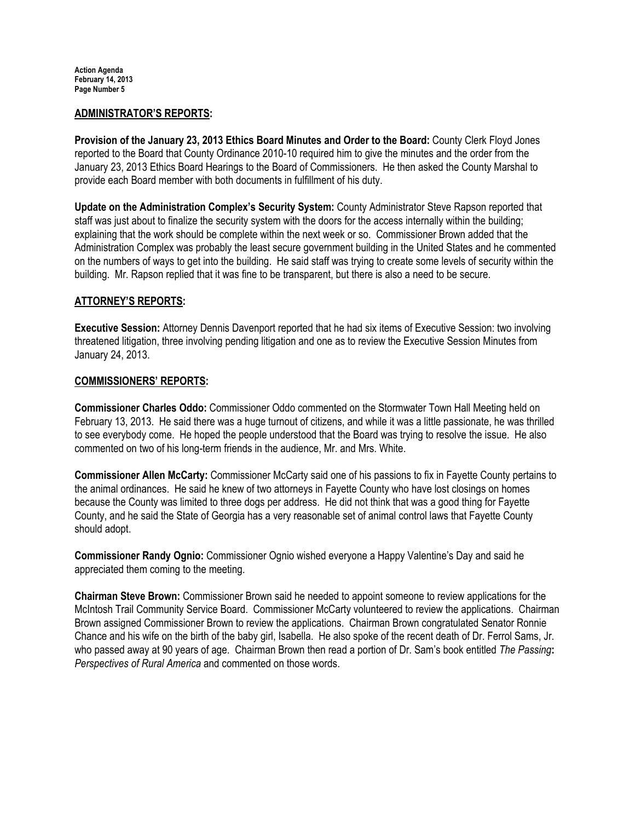## ADMINISTRATOR'S REPORTS:

Provision of the January 23, 2013 Ethics Board Minutes and Order to the Board: County Clerk Floyd Jones reported to the Board that County Ordinance 2010-10 required him to give the minutes and the order from the January 23, 2013 Ethics Board Hearings to the Board of Commissioners. He then asked the County Marshal to provide each Board member with both documents in fulfillment of his duty.

Update on the Administration Complex's Security System: County Administrator Steve Rapson reported that staff was just about to finalize the security system with the doors for the access internally within the building; explaining that the work should be complete within the next week or so. Commissioner Brown added that the Administration Complex was probably the least secure government building in the United States and he commented on the numbers of ways to get into the building. He said staff was trying to create some levels of security within the building. Mr. Rapson replied that it was fine to be transparent, but there is also a need to be secure.

## ATTORNEY'S REPORTS:

Executive Session: Attorney Dennis Davenport reported that he had six items of Executive Session: two involving threatened litigation, three involving pending litigation and one as to review the Executive Session Minutes from January 24, 2013.

#### COMMISSIONERS' REPORTS:

Commissioner Charles Oddo: Commissioner Oddo commented on the Stormwater Town Hall Meeting held on February 13, 2013. He said there was a huge turnout of citizens, and while it was a little passionate, he was thrilled to see everybody come. He hoped the people understood that the Board was trying to resolve the issue. He also commented on two of his long-term friends in the audience, Mr. and Mrs. White.

Commissioner Allen McCarty: Commissioner McCarty said one of his passions to fix in Fayette County pertains to the animal ordinances. He said he knew of two attorneys in Fayette County who have lost closings on homes because the County was limited to three dogs per address. He did not think that was a good thing for Fayette County, and he said the State of Georgia has a very reasonable set of animal control laws that Fayette County should adopt.

Commissioner Randy Ognio: Commissioner Ognio wished everyone a Happy Valentine's Day and said he appreciated them coming to the meeting.

Chairman Steve Brown: Commissioner Brown said he needed to appoint someone to review applications for the McIntosh Trail Community Service Board. Commissioner McCarty volunteered to review the applications. Chairman Brown assigned Commissioner Brown to review the applications. Chairman Brown congratulated Senator Ronnie Chance and his wife on the birth of the baby girl, Isabella. He also spoke of the recent death of Dr. Ferrol Sams, Jr. who passed away at 90 years of age. Chairman Brown then read a portion of Dr. Sam's book entitled The Passing: Perspectives of Rural America and commented on those words.